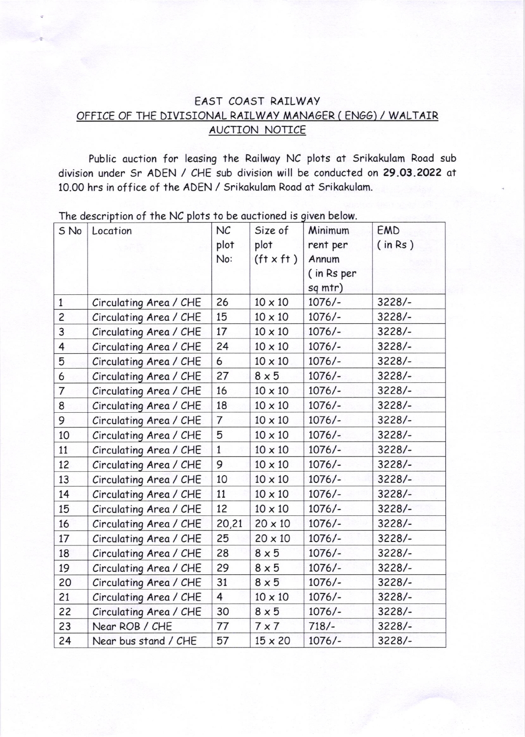## EA5T COA5T RAILWAY OFFICE OF THE DIVI5IONAL RAILWAY MANAGER ( EN66) / WALTAIR AUCTION NOTICE

Public auction for leasing the Railway NC plots at Srikakulam Road sub division under 5r ADEN / CHE sub division will be conducted on 29.03.2022 at 10.00 hrs in office of the ADEN / Srikakulam Road at Srikakulam.

| S No           | Location               | NC             | Size of                            | Minimum    | EMD      |
|----------------|------------------------|----------------|------------------------------------|------------|----------|
|                |                        | plot           | plot                               | rent per   | (in Rs)  |
|                |                        | No:            | (f <sup>†</sup> x f <sup>†</sup> ) | Annum      |          |
|                |                        |                |                                    | (in Rs per |          |
|                |                        |                |                                    | sq mtr)    |          |
| $\mathbf{1}$   | Circulating Area / CHE | 26             | $10 \times 10$                     | $1076/-$   | $3228/-$ |
| $\overline{c}$ | Circulating Area / CHE | 15             | $10 \times 10$                     | $1076/-$   | $3228/-$ |
| 3              | Circulating Area / CHE | 17             | $10 \times 10$                     | $1076/-$   | $3228/-$ |
| 4              | Circulating Area / CHE | 24             | $10 \times 10$                     | $1076/-$   | $3228/-$ |
| 5              | Circulating Area / CHE | 6              | $10 \times 10$                     | $1076/-$   | $3228/-$ |
| 6              | Circulating Area / CHE | 27             | $8 \times 5$                       | $1076/-$   | $3228/-$ |
| 7              | Circulating Area / CHE | 16             | $10 \times 10$                     | $1076/-$   | $3228/-$ |
| 8              | Circulating Area / CHE | 18             | $10 \times 10$                     | $1076/-$   | $3228/-$ |
| 9              | Circulating Area / CHE | $\overline{7}$ | $10 \times 10$                     | $1076/-$   | $3228/-$ |
| 10             | Circulating Area / CHE | 5              | $10 \times 10$                     | $1076/-$   | $3228/-$ |
| 11             | Circulating Area / CHE | $\mathbf{1}$   | $10 \times 10$                     | $1076/-$   | $3228/-$ |
| 12             | Circulating Area / CHE | 9              | $10 \times 10$                     | $1076/-$   | $3228/-$ |
| 13             | Circulating Area / CHE | 10             | $10 \times 10$                     | $1076/-$   | $3228/-$ |
| 14             | Circulating Area / CHE | 11             | $10 \times 10$                     | $1076/-$   | $3228/-$ |
| 15             | Circulating Area / CHE | 12             | $10 \times 10$                     | $1076/-$   | $3228/-$ |
| 16             | Circulating Area / CHE | 20,21          | $20 \times 10$                     | $1076/-$   | $3228/-$ |
| 17             | Circulating Area / CHE | 25             | $20 \times 10$                     | $1076/-$   | $3228/-$ |
| 18             | Circulating Area / CHE | 28             | $8 \times 5$                       | $1076/-$   | $3228/-$ |
| 19             | Circulating Area / CHE | 29             | $8 \times 5$                       | $1076/-$   | $3228/-$ |
| 20             | Circulating Area / CHE | 31             | $8 \times 5$                       | $1076/-$   | $3228/-$ |
| 21             | Circulating Area / CHE | 4              | $10 \times 10$                     | $1076/-$   | $3228/-$ |
| 22             | Circulating Area / CHE | 30             | $8 \times 5$                       | $1076/-$   | $3228/-$ |
| 23             | Near ROB / CHE         | 77             | $7 \times 7$                       | $718/-$    | $3228/-$ |
| 24             | Near bus stand / CHE   | 57             | $15 \times 20$                     | $1076/-$   | $3228/-$ |

The description of the NC plots to be quotioned is given below.